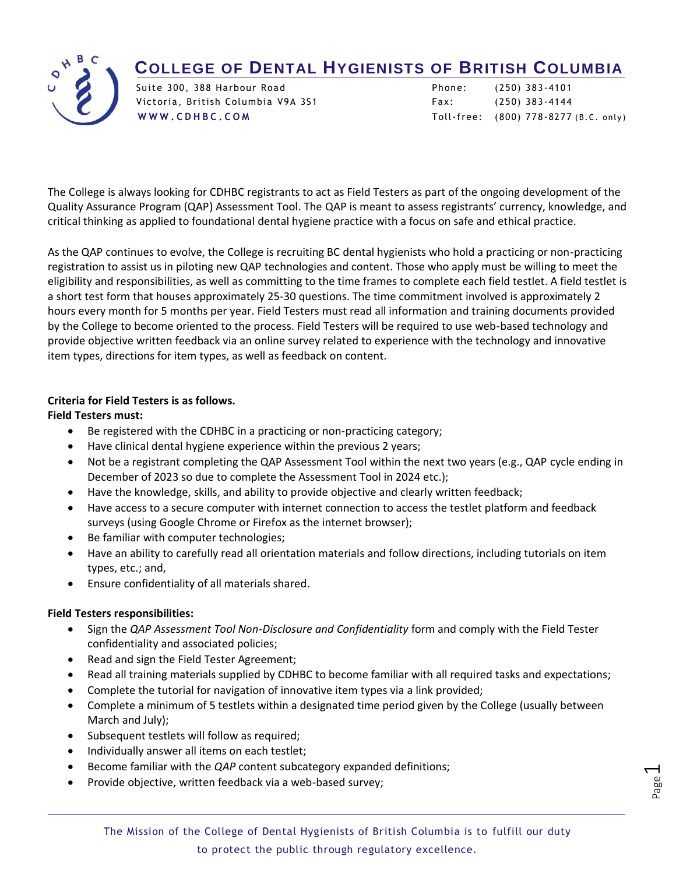## **COLLEGE OF DENTAL HYGIENISTS OF BRITISH COLUMBIA**



Victoria, British Columbia V9A 3S1 Fax: (250) 383-4144

Suite 300, 388 Harbour Road Phone: (250) 383 - 4101 **[W W W . C D H B C . C O M](http://www.cdhbc.com/)** Toll-free: (800) 778 - 8277 (B.C. only)

The College is always looking for CDHBC registrants to act as Field Testers as part of the ongoing development of the Quality Assurance Program (QAP) Assessment Tool. The QAP is meant to assess registrants' currency, knowledge, and critical thinking as applied to foundational dental hygiene practice with a focus on safe and ethical practice.

As the QAP continues to evolve, the College is recruiting BC dental hygienists who hold a practicing or non-practicing registration to assist us in piloting new QAP technologies and content. Those who apply must be willing to meet the eligibility and responsibilities, as well as committing to the time frames to complete each field testlet. A field testlet is a short test form that houses approximately 25-30 questions. The time commitment involved is approximately 2 hours every month for 5 months per year. Field Testers must read all information and training documents provided by the College to become oriented to the process. Field Testers will be required to use web-based technology and provide objective written feedback via an online survey related to experience with the technology and innovative item types, directions for item types, as well as feedback on content.

## **Criteria for Field Testers is as follows.**

## **Field Testers must:**

- Be registered with the CDHBC in a practicing or non-practicing category;
- Have clinical dental hygiene experience within the previous 2 years;
- Not be a registrant completing the QAP Assessment Tool within the next two years (e.g., QAP cycle ending in December of 2023 so due to complete the Assessment Tool in 2024 etc.);
- Have the knowledge, skills, and ability to provide objective and clearly written feedback;
- Have access to a secure computer with internet connection to access the testlet platform and feedback surveys (using Google Chrome or Firefox as the internet browser);
- Be familiar with computer technologies;
- Have an ability to carefully read all orientation materials and follow directions, including tutorials on item types, etc.; and,
- Ensure confidentiality of all materials shared.

## **Field Testers responsibilities:**

 $\overline{a}$ 

- Sign the *QAP Assessment Tool Non-Disclosure and Confidentiality* form and comply with the Field Tester confidentiality and associated policies;
- Read and sign the Field Tester Agreement;
- Read all training materials supplied by CDHBC to become familiar with all required tasks and expectations;
- Complete the tutorial for navigation of innovative item types via a link provided;
- Complete a minimum of 5 testlets within a designated time period given by the College (usually between March and July);
- Subsequent testlets will follow as required;
- Individually answer all items on each testlet;
- Become familiar with the *QAP* content subcategory expanded definitions;
- Provide objective, written feedback via a web-based survey;